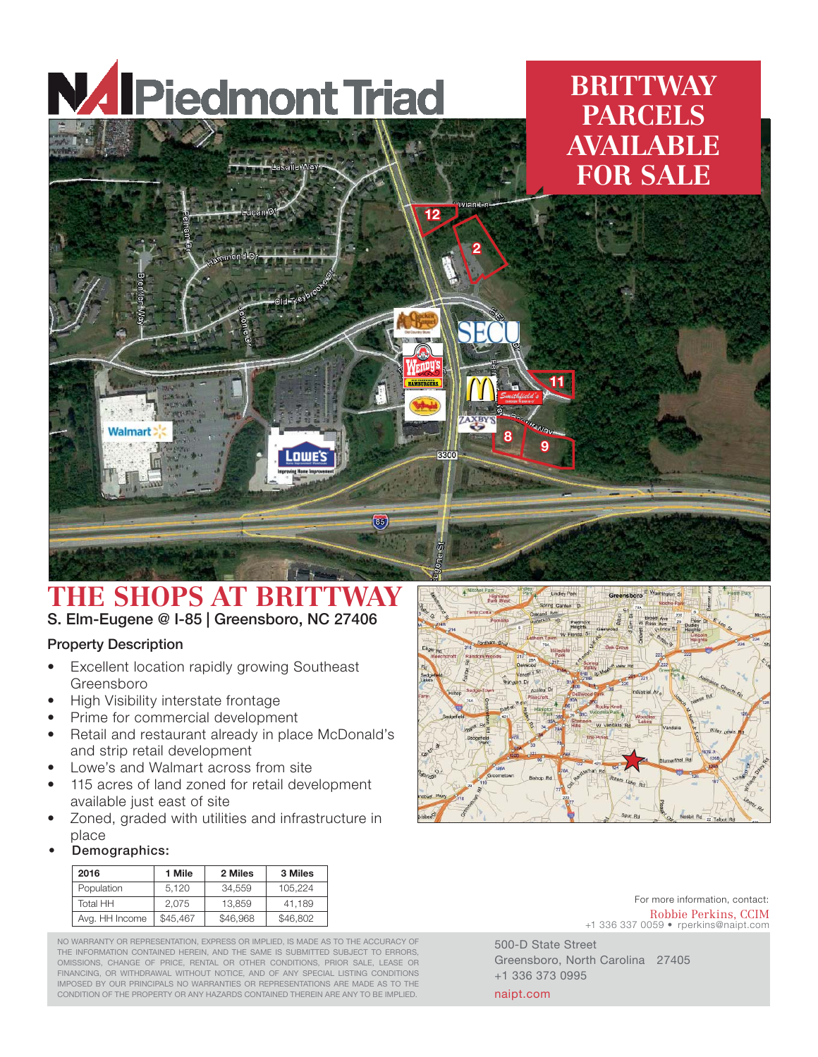

## **BRITTWAY PARCELS AVAILABLE FOR SALE**



## **THE SHOPS AT BRITTWAY** S. Elm-Eugene @ I-85 | Greensboro, NC 27406

## Property Description

- Excellent location rapidly growing Southeast Greensboro
- High Visibility interstate frontage
- Prime for commercial development
- Retail and restaurant already in place McDonald's and strip retail development
- Lowe's and Walmart across from site
- 115 acres of land zoned for retail development available just east of site
- Zoned, graded with utilities and infrastructure in place
- Demographics:

| 2016                      | <b>Mile</b> | 2 Miles  | 3 Miles  |
|---------------------------|-------------|----------|----------|
| Population                | 5.120       | 34.559   | 105.224  |
| Total HH                  | 2.075       | 13.859   | 41.189   |
| Avg. HH Income   \$45,467 |             | \$46,968 | \$46,802 |

NO WARRANTY OR REPRESENTATION, EXPRESS OR IMPLIED, IS MADE AS TO THE ACCURACY OF THE INFORMATION CONTAINED HEREIN, AND THE SAME IS SUBMITTED SUBJECT TO ERRORS, OMISSIONS, CHANGE OF PRICE, RENTAL OR OTHER CONDITIONS, PRIOR SALE, LEASE OR FINANCING, OR WITHDRAWAL WITHOUT NOTICE, AND OF ANY SPECIAL LISTING CONDITIONS IMPOSED BY OUR PRINCIPALS NO WARRANTIES OR REPRESENTATIONS ARE MADE AS TO THE CONDITION OF THE PROPERTY OR ANY HAZARDS CONTAINED THEREIN ARE ANY TO BE IMPLIED.



500-D State Street Greensboro, North Carolina 27405 +1 336 373 0995 naipt.com